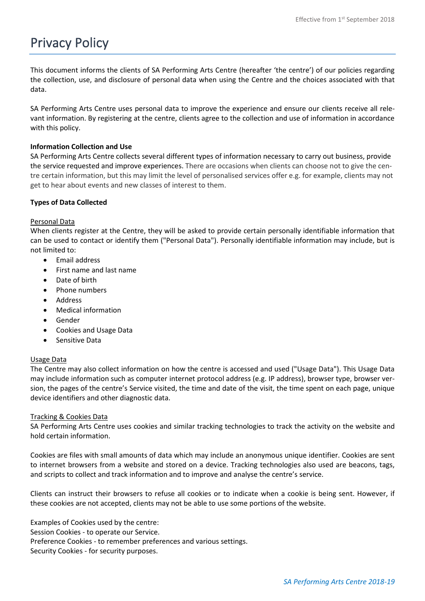# Privacy Policy

This document informs the clients of SA Performing Arts Centre (hereafter 'the centre') of our policies regarding the collection, use, and disclosure of personal data when using the Centre and the choices associated with that data.

SA Performing Arts Centre uses personal data to improve the experience and ensure our clients receive all relevant information. By registering at the centre, clients agree to the collection and use of information in accordance with this policy.

# **Information Collection and Use**

SA Performing Arts Centre collects several different types of information necessary to carry out business, provide the service requested and improve experiences. There are occasions when clients can choose not to give the centre certain information, but this may limit the level of personalised services offer e.g. for example, clients may not get to hear about events and new classes of interest to them.

# **Types of Data Collected**

# Personal Data

When clients register at the Centre, they will be asked to provide certain personally identifiable information that can be used to contact or identify them ("Personal Data"). Personally identifiable information may include, but is not limited to:

- Email address
- First name and last name
- Date of birth
- Phone numbers
- **Address**
- Medical information
- Gender
- Cookies and Usage Data
- Sensitive Data

# Usage Data

The Centre may also collect information on how the centre is accessed and used ("Usage Data"). This Usage Data may include information such as computer internet protocol address (e.g. IP address), browser type, browser version, the pages of the centre's Service visited, the time and date of the visit, the time spent on each page, unique device identifiers and other diagnostic data.

# Tracking & Cookies Data

SA Performing Arts Centre uses cookies and similar tracking technologies to track the activity on the website and hold certain information.

Cookies are files with small amounts of data which may include an anonymous unique identifier. Cookies are sent to internet browsers from a website and stored on a device. Tracking technologies also used are beacons, tags, and scripts to collect and track information and to improve and analyse the centre's service.

Clients can instruct their browsers to refuse all cookies or to indicate when a cookie is being sent. However, if these cookies are not accepted, clients may not be able to use some portions of the website.

Examples of Cookies used by the centre: Session Cookies - to operate our Service. Preference Cookies - to remember preferences and various settings. Security Cookies - for security purposes.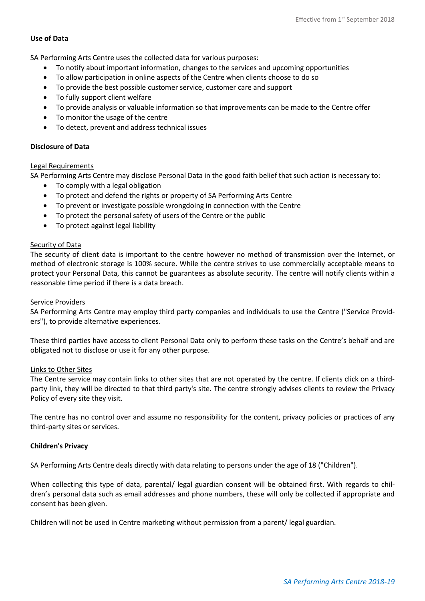## **Use of Data**

SA Performing Arts Centre uses the collected data for various purposes:

- To notify about important information, changes to the services and upcoming opportunities
- To allow participation in online aspects of the Centre when clients choose to do so
- To provide the best possible customer service, customer care and support
- To fully support client welfare
- To provide analysis or valuable information so that improvements can be made to the Centre offer
- To monitor the usage of the centre
- To detect, prevent and address technical issues

### **Disclosure of Data**

#### Legal Requirements

SA Performing Arts Centre may disclose Personal Data in the good faith belief that such action is necessary to:

- To comply with a legal obligation
- To protect and defend the rights or property of SA Performing Arts Centre
- To prevent or investigate possible wrongdoing in connection with the Centre
- To protect the personal safety of users of the Centre or the public
- To protect against legal liability

#### Security of Data

The security of client data is important to the centre however no method of transmission over the Internet, or method of electronic storage is 100% secure. While the centre strives to use commercially acceptable means to protect your Personal Data, this cannot be guarantees as absolute security. The centre will notify clients within a reasonable time period if there is a data breach.

#### Service Providers

SA Performing Arts Centre may employ third party companies and individuals to use the Centre ("Service Providers"), to provide alternative experiences.

These third parties have access to client Personal Data only to perform these tasks on the Centre's behalf and are obligated not to disclose or use it for any other purpose.

#### Links to Other Sites

The Centre service may contain links to other sites that are not operated by the centre. If clients click on a thirdparty link, they will be directed to that third party's site. The centre strongly advises clients to review the Privacy Policy of every site they visit.

The centre has no control over and assume no responsibility for the content, privacy policies or practices of any third-party sites or services.

#### **Children's Privacy**

SA Performing Arts Centre deals directly with data relating to persons under the age of 18 ("Children").

When collecting this type of data, parental/ legal guardian consent will be obtained first. With regards to children's personal data such as email addresses and phone numbers, these will only be collected if appropriate and consent has been given.

Children will not be used in Centre marketing without permission from a parent/ legal guardian.